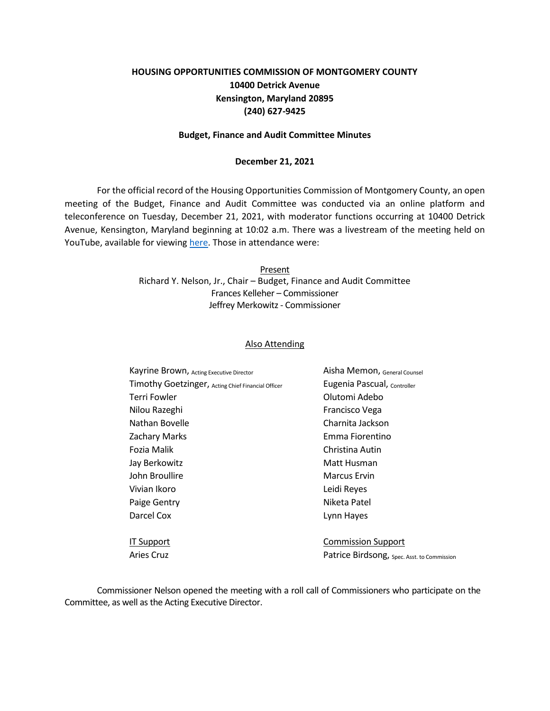# **HOUSING OPPORTUNITIES COMMISSION OF MONTGOMERY COUNTY 10400 Detrick Avenue Kensington, Maryland 20895 (240) 627-9425**

#### **Budget, Finance and Audit Committee Minutes**

#### **December 21, 2021**

For the official record of the Housing Opportunities Commission of Montgomery County, an open meeting of the Budget, Finance and Audit Committee was conducted via an online platform and teleconference on Tuesday, December 21, 2021, with moderator functions occurring at 10400 Detrick Avenue, Kensington, Maryland beginning at 10:02 a.m. There was a livestream of the meeting held on YouTube, available for viewing [here.](https://youtu.be/SWQGH-JkDGM) Those in attendance were:

> Present Richard Y. Nelson, Jr., Chair – Budget, Finance and Audit Committee Frances Kelleher – Commissioner Jeffrey Merkowitz - Commissioner

#### Also Attending

| Kayrine Brown, Acting Executive Director           | Aisha Memon, General Counsel                |
|----------------------------------------------------|---------------------------------------------|
| Timothy Goetzinger, Acting Chief Financial Officer | Eugenia Pascual, Controller                 |
| Terri Fowler                                       | Olutomi Adebo                               |
| Nilou Razeghi                                      | Francisco Vega                              |
| Nathan Bovelle                                     | Charnita Jackson                            |
| <b>Zachary Marks</b>                               | Emma Fiorentino                             |
| Fozia Malik                                        | Christina Autin                             |
| Jay Berkowitz                                      | Matt Husman                                 |
| John Broullire                                     | <b>Marcus Ervin</b>                         |
| Vivian Ikoro                                       | Leidi Reyes                                 |
| Paige Gentry                                       | Niketa Patel                                |
| Darcel Cox                                         | Lynn Hayes                                  |
|                                                    |                                             |
| <b>IT Support</b>                                  | <b>Commission Support</b>                   |
| Aries Cruz                                         | Patrice Birdsong, Spec. Asst. to Commission |

Commissioner Nelson opened the meeting with a roll call of Commissioners who participate on the Committee, as well as the Acting Executive Director.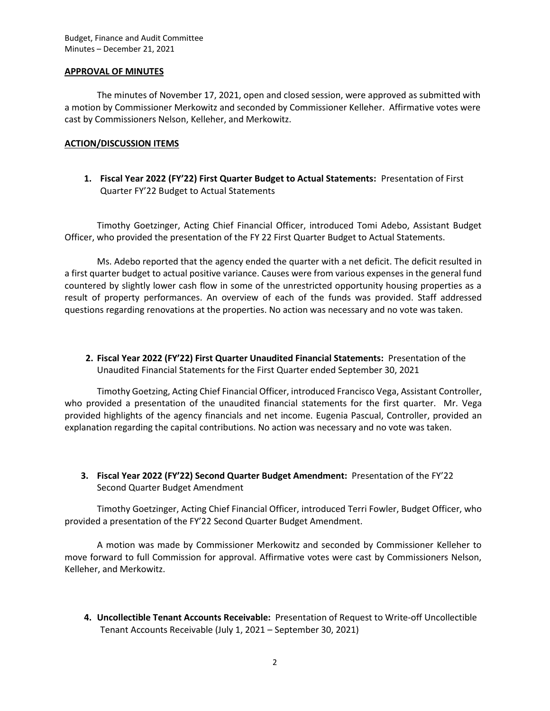### **APPROVAL OF MINUTES**

The minutes of November 17, 2021, open and closed session, were approved as submitted with a motion by Commissioner Merkowitz and seconded by Commissioner Kelleher. Affirmative votes were cast by Commissioners Nelson, Kelleher, and Merkowitz.

## **ACTION/DISCUSSION ITEMS**

**1. Fiscal Year 2022 (FY'22) First Quarter Budget to Actual Statements:** Presentation of First Quarter FY'22 Budget to Actual Statements

Timothy Goetzinger, Acting Chief Financial Officer, introduced Tomi Adebo, Assistant Budget Officer, who provided the presentation of the FY 22 First Quarter Budget to Actual Statements.

Ms. Adebo reported that the agency ended the quarter with a net deficit. The deficit resulted in a first quarter budget to actual positive variance. Causes were from various expenses in the general fund countered by slightly lower cash flow in some of the unrestricted opportunity housing properties as a result of property performances. An overview of each of the funds was provided. Staff addressed questions regarding renovations at the properties. No action was necessary and no vote was taken.

**2. Fiscal Year 2022 (FY'22) First Quarter Unaudited Financial Statements:** Presentation of the Unaudited Financial Statements for the First Quarter ended September 30, 2021

Timothy Goetzing, Acting Chief Financial Officer, introduced Francisco Vega, Assistant Controller, who provided a presentation of the unaudited financial statements for the first quarter. Mr. Vega provided highlights of the agency financials and net income. Eugenia Pascual, Controller, provided an explanation regarding the capital contributions. No action was necessary and no vote was taken.

**3. Fiscal Year 2022 (FY'22) Second Quarter Budget Amendment:** Presentation of the FY'22 Second Quarter Budget Amendment

Timothy Goetzinger, Acting Chief Financial Officer, introduced Terri Fowler, Budget Officer, who provided a presentation of the FY'22 Second Quarter Budget Amendment.

A motion was made by Commissioner Merkowitz and seconded by Commissioner Kelleher to move forward to full Commission for approval. Affirmative votes were cast by Commissioners Nelson, Kelleher, and Merkowitz.

**4. Uncollectible Tenant Accounts Receivable:** Presentation of Request to Write-off Uncollectible Tenant Accounts Receivable (July 1, 2021 – September 30, 2021)